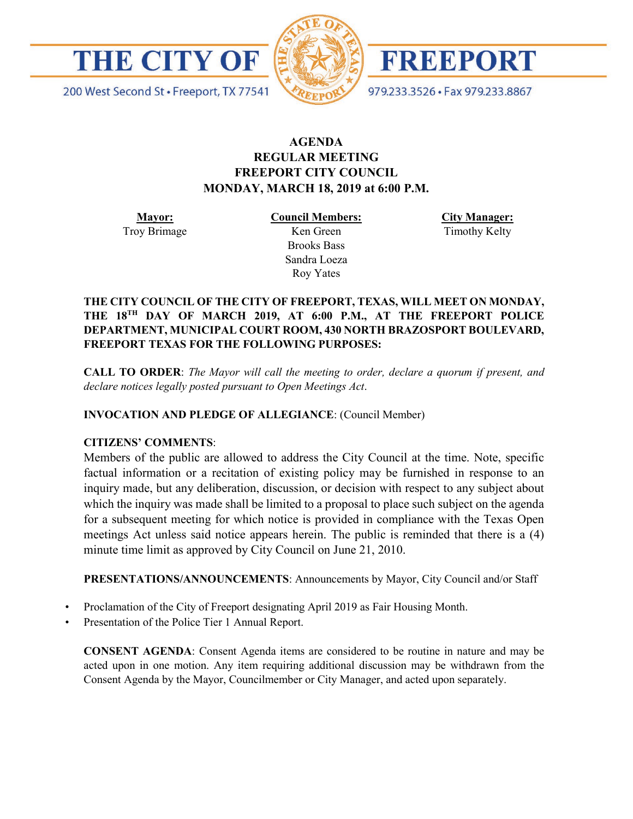

200 West Second St · Freeport, TX 77541



FREEPORT

979.233.3526 · Fax 979.233.8867

## **AGENDA REGULAR MEETING FREEPORT CITY COUNCIL MONDAY, MARCH 18, 2019 at 6:00 P.M.**

**Mayor:** Troy Brimage **Council Members:** Ken Green

> Brooks Bass Sandra Loeza Roy Yates

**City Manager:**

Timothy Kelty

### **THE CITY COUNCIL OF THE CITY OF FREEPORT, TEXAS, WILL MEET ON MONDAY, THE 18TH DAY OF MARCH 2019, AT 6:00 P.M., AT THE FREEPORT POLICE DEPARTMENT, MUNICIPAL COURT ROOM, 430 NORTH BRAZOSPORT BOULEVARD, FREEPORT TEXAS FOR THE FOLLOWING PURPOSES:**

**CALL TO ORDER**: *The Mayor will call the meeting to order, declare a quorum if present, and declare notices legally posted pursuant to Open Meetings Act*.

### **INVOCATION AND PLEDGE OF ALLEGIANCE**: (Council Member)

### **CITIZENS' COMMENTS**:

Members of the public are allowed to address the City Council at the time. Note, specific factual information or a recitation of existing policy may be furnished in response to an inquiry made, but any deliberation, discussion, or decision with respect to any subject about which the inquiry was made shall be limited to a proposal to place such subject on the agenda for a subsequent meeting for which notice is provided in compliance with the Texas Open meetings Act unless said notice appears herein. The public is reminded that there is a (4) minute time limit as approved by City Council on June 21, 2010.

**PRESENTATIONS/ANNOUNCEMENTS**: Announcements by Mayor, City Council and/or Staff

- Proclamation of the City of Freeport designating April 2019 as Fair Housing Month.
- Presentation of the Police Tier 1 Annual Report.

**CONSENT AGENDA**: Consent Agenda items are considered to be routine in nature and may be acted upon in one motion. Any item requiring additional discussion may be withdrawn from the Consent Agenda by the Mayor, Councilmember or City Manager, and acted upon separately.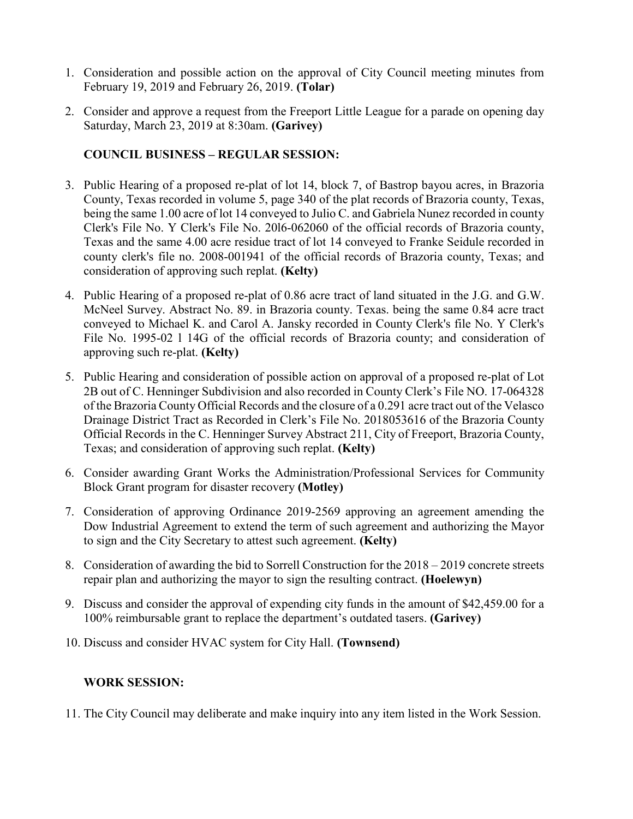- 1. Consideration and possible action on the approval of City Council meeting minutes from February 19, 2019 and February 26, 2019. **(Tolar)**
- 2. Consider and approve a request from the Freeport Little League for a parade on opening day Saturday, March 23, 2019 at 8:30am. **(Garivey)**

# **COUNCIL BUSINESS – REGULAR SESSION:**

- 3. Public Hearing of a proposed re-plat of lot 14, block 7, of Bastrop bayou acres, in Brazoria County, Texas recorded in volume 5, page 340 of the plat records of Brazoria county, Texas, being the same 1.00 acre of lot 14 conveyed to Julio C. and Gabriela Nunez recorded in county Clerk's File No. Y Clerk's File No. 20l6-062060 of the official records of Brazoria county, Texas and the same 4.00 acre residue tract of lot 14 conveyed to Franke Seidule recorded in county clerk's file no. 2008-001941 of the official records of Brazoria county, Texas; and consideration of approving such replat. **(Kelty)**
- 4. Public Hearing of a proposed re-plat of 0.86 acre tract of land situated in the J.G. and G.W. McNeel Survey. Abstract No. 89. in Brazoria county. Texas. being the same 0.84 acre tract conveyed to Michael K. and Carol A. Jansky recorded in County Clerk's file No. Y Clerk's File No. 1995-02 l 14G of the official records of Brazoria county; and consideration of approving such re-plat. **(Kelty)**
- 5. Public Hearing and consideration of possible action on approval of a proposed re-plat of Lot 2B out of C. Henninger Subdivision and also recorded in County Clerk's File NO. 17-064328 of the Brazoria County Official Records and the closure of a 0.291 acre tract out of the Velasco Drainage District Tract as Recorded in Clerk's File No. 2018053616 of the Brazoria County Official Records in the C. Henninger Survey Abstract 211, City of Freeport, Brazoria County, Texas; and consideration of approving such replat. **(Kelty)**
- 6. Consider awarding Grant Works the Administration/Professional Services for Community Block Grant program for disaster recovery **(Motley)**
- 7. Consideration of approving Ordinance 2019-2569 approving an agreement amending the Dow Industrial Agreement to extend the term of such agreement and authorizing the Mayor to sign and the City Secretary to attest such agreement. **(Kelty)**
- 8. Consideration of awarding the bid to Sorrell Construction for the 2018 2019 concrete streets repair plan and authorizing the mayor to sign the resulting contract. **(Hoelewyn)**
- 9. Discuss and consider the approval of expending city funds in the amount of \$42,459.00 for a 100% reimbursable grant to replace the department's outdated tasers. **(Garivey)**
- 10. Discuss and consider HVAC system for City Hall. **(Townsend)**

## **WORK SESSION:**

11. The City Council may deliberate and make inquiry into any item listed in the Work Session.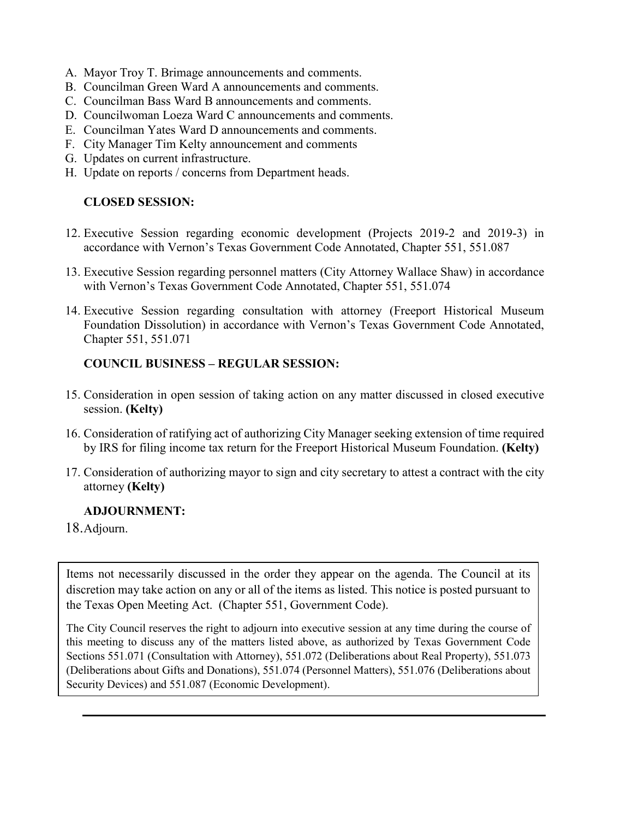- A. Mayor Troy T. Brimage announcements and comments.
- B. Councilman Green Ward A announcements and comments.
- C. Councilman Bass Ward B announcements and comments.
- D. Councilwoman Loeza Ward C announcements and comments.
- E. Councilman Yates Ward D announcements and comments.
- F. City Manager Tim Kelty announcement and comments
- G. Updates on current infrastructure.
- H. Update on reports / concerns from Department heads.

### **CLOSED SESSION:**

- 12. Executive Session regarding economic development (Projects 2019-2 and 2019-3) in accordance with Vernon's Texas Government Code Annotated, Chapter 551, 551.087
- 13. Executive Session regarding personnel matters (City Attorney Wallace Shaw) in accordance with Vernon's Texas Government Code Annotated, Chapter 551, 551.074
- 14. Executive Session regarding consultation with attorney (Freeport Historical Museum Foundation Dissolution) in accordance with Vernon's Texas Government Code Annotated, Chapter 551, 551.071

### **COUNCIL BUSINESS – REGULAR SESSION:**

- 15. Consideration in open session of taking action on any matter discussed in closed executive session. **(Kelty)**
- 16. Consideration of ratifying act of authorizing City Manager seeking extension of time required by IRS for filing income tax return for the Freeport Historical Museum Foundation. **(Kelty)**
- 17. Consideration of authorizing mayor to sign and city secretary to attest a contract with the city attorney **(Kelty)**

## **ADJOURNMENT:**

18.Adjourn.

Items not necessarily discussed in the order they appear on the agenda. The Council at its discretion may take action on any or all of the items as listed. This notice is posted pursuant to the Texas Open Meeting Act. (Chapter 551, Government Code).

The City Council reserves the right to adjourn into executive session at any time during the course of this meeting to discuss any of the matters listed above, as authorized by Texas Government Code Sections 551.071 (Consultation with Attorney), 551.072 (Deliberations about Real Property), 551.073 (Deliberations about Gifts and Donations), 551.074 (Personnel Matters), 551.076 (Deliberations about Security Devices) and 551.087 (Economic Development).